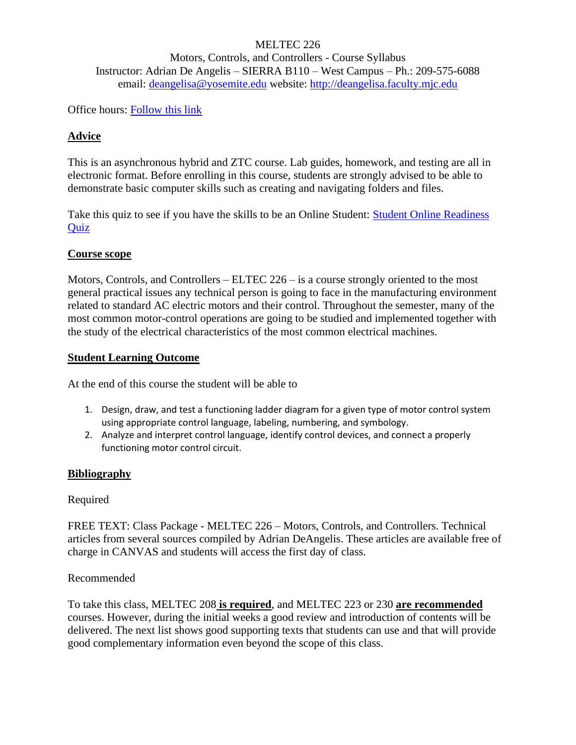# MELTEC 226 Motors, Controls, and Controllers - Course Syllabus Instructor: Adrian De Angelis – SIERRA B110 – West Campus – Ph.: 209-575-6088 email: [deangelisa@yosemite.edu](mailto:deangelisa@yosemite.edu) website: [http://deangelisa.faculty.mjc.edu](http://deangelisa.faculty.mjc.edu/)

Office hours: [Follow this link](https://modesto.instructure.com/courses/43225/pages/contact-your-instructor-and-peers)

## **Advice**

This is an asynchronous hybrid and ZTC course. Lab guides, homework, and testing are all in electronic format. Before enrolling in this course, students are strongly advised to be able to demonstrate basic computer skills such as creating and navigating folders and files.

Take this quiz to see if you have the skills to be an Online Student: [Student Online Readiness](http://mjc.edu/instruction/online/readinessquiz.php)  **[Quiz](http://mjc.edu/instruction/online/readinessquiz.php)** 

#### **Course scope**

Motors, Controls, and Controllers – ELTEC 226 – is a course strongly oriented to the most general practical issues any technical person is going to face in the manufacturing environment related to standard AC electric motors and their control. Throughout the semester, many of the most common motor-control operations are going to be studied and implemented together with the study of the electrical characteristics of the most common electrical machines.

#### **Student Learning Outcome**

At the end of this course the student will be able to

- 1. Design, draw, and test a functioning ladder diagram for a given type of motor control system using appropriate control language, labeling, numbering, and symbology.
- 2. Analyze and interpret control language, identify control devices, and connect a properly functioning motor control circuit.

## **Bibliography**

#### Required

FREE TEXT: Class Package - MELTEC 226 – Motors, Controls, and Controllers. Technical articles from several sources compiled by Adrian DeAngelis. These articles are available free of charge in CANVAS and students will access the first day of class.

#### Recommended

To take this class, MELTEC 208 **is required**, and MELTEC 223 or 230 **are recommended** courses. However, during the initial weeks a good review and introduction of contents will be delivered. The next list shows good supporting texts that students can use and that will provide good complementary information even beyond the scope of this class.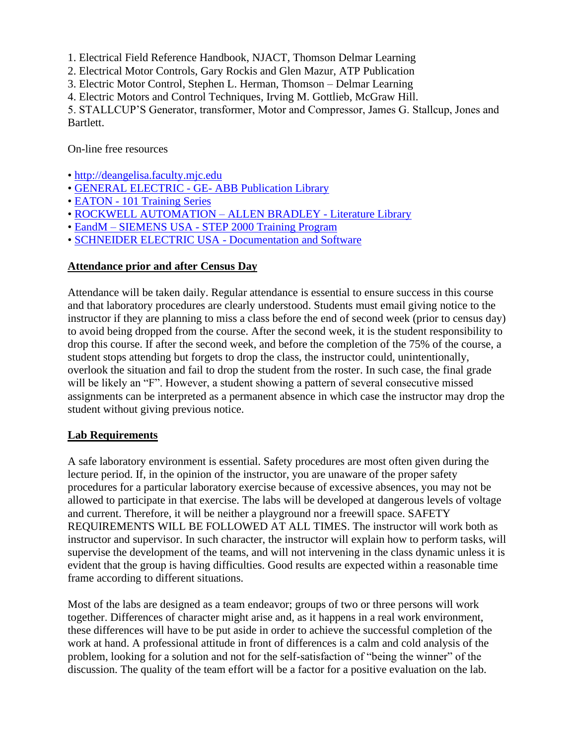1. Electrical Field Reference Handbook, NJACT, Thomson Delmar Learning

2. Electrical Motor Controls, Gary Rockis and Glen Mazur, ATP Publication

3. Electric Motor Control, Stephen L. Herman, Thomson – Delmar Learning

4. Electric Motors and Control Techniques, Irving M. Gottlieb, McGraw Hill.

5. STALLCUP'S Generator, transformer, Motor and Compressor, James G. Stallcup, Jones and Bartlett.

On-line free resources

- • [http://deangelisa.faculty.mjc.edu](http://deangelisa.faculty.mjc.edu/)
- • [GENERAL ELECTRIC -](https://electrification.us.abb.com/publibrary) GE- ABB Publication Library
- EATON [101 Training Series](https://www.eaton.com/us/en-us/support/training/101-basics-series.html)
- • [ROCKWELL AUTOMATION –](https://www.rockwellautomation.com/en-us/support/documentation/literature-library.html) ALLEN BRADLEY Literature Library
- EandM SIEMENS USA [STEP 2000 Training Program](https://www.eandm.com/Products/Content/Siemens/Training/Siemens_Courses.aspx)
- • [SCHNEIDER ELECTRIC USA -](https://www.se.com/us/en/download/) Documentation and Software

# **Attendance prior and after Census Day**

Attendance will be taken daily. Regular attendance is essential to ensure success in this course and that laboratory procedures are clearly understood. Students must email giving notice to the instructor if they are planning to miss a class before the end of second week (prior to census day) to avoid being dropped from the course. After the second week, it is the student responsibility to drop this course. If after the second week, and before the completion of the 75% of the course, a student stops attending but forgets to drop the class, the instructor could, unintentionally, overlook the situation and fail to drop the student from the roster. In such case, the final grade will be likely an "F". However, a student showing a pattern of several consecutive missed assignments can be interpreted as a permanent absence in which case the instructor may drop the student without giving previous notice.

# **Lab Requirements**

A safe laboratory environment is essential. Safety procedures are most often given during the lecture period. If, in the opinion of the instructor, you are unaware of the proper safety procedures for a particular laboratory exercise because of excessive absences, you may not be allowed to participate in that exercise. The labs will be developed at dangerous levels of voltage and current. Therefore, it will be neither a playground nor a freewill space. SAFETY REQUIREMENTS WILL BE FOLLOWED AT ALL TIMES. The instructor will work both as instructor and supervisor. In such character, the instructor will explain how to perform tasks, will supervise the development of the teams, and will not intervening in the class dynamic unless it is evident that the group is having difficulties. Good results are expected within a reasonable time frame according to different situations.

Most of the labs are designed as a team endeavor; groups of two or three persons will work together. Differences of character might arise and, as it happens in a real work environment, these differences will have to be put aside in order to achieve the successful completion of the work at hand. A professional attitude in front of differences is a calm and cold analysis of the problem, looking for a solution and not for the self-satisfaction of "being the winner" of the discussion. The quality of the team effort will be a factor for a positive evaluation on the lab.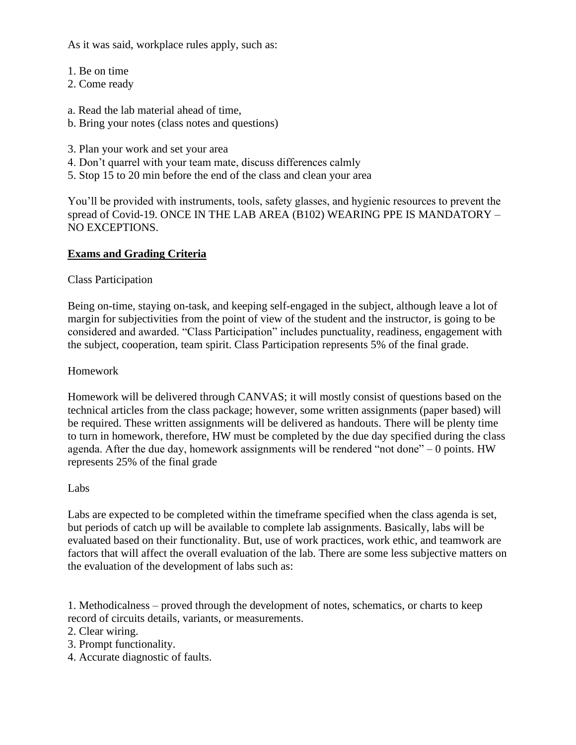As it was said, workplace rules apply, such as:

- 1. Be on time
- 2. Come ready
- a. Read the lab material ahead of time,
- b. Bring your notes (class notes and questions)
- 3. Plan your work and set your area
- 4. Don't quarrel with your team mate, discuss differences calmly
- 5. Stop 15 to 20 min before the end of the class and clean your area

You'll be provided with instruments, tools, safety glasses, and hygienic resources to prevent the spread of Covid-19. ONCE IN THE LAB AREA (B102) WEARING PPE IS MANDATORY – NO EXCEPTIONS.

# **Exams and Grading Criteria**

Class Participation

Being on-time, staying on-task, and keeping self-engaged in the subject, although leave a lot of margin for subjectivities from the point of view of the student and the instructor, is going to be considered and awarded. "Class Participation" includes punctuality, readiness, engagement with the subject, cooperation, team spirit. Class Participation represents 5% of the final grade.

## Homework

Homework will be delivered through CANVAS; it will mostly consist of questions based on the technical articles from the class package; however, some written assignments (paper based) will be required. These written assignments will be delivered as handouts. There will be plenty time to turn in homework, therefore, HW must be completed by the due day specified during the class agenda. After the due day, homework assignments will be rendered "not done" – 0 points. HW represents 25% of the final grade

## Labs

Labs are expected to be completed within the timeframe specified when the class agenda is set, but periods of catch up will be available to complete lab assignments. Basically, labs will be evaluated based on their functionality. But, use of work practices, work ethic, and teamwork are factors that will affect the overall evaluation of the lab. There are some less subjective matters on the evaluation of the development of labs such as:

1. Methodicalness – proved through the development of notes, schematics, or charts to keep record of circuits details, variants, or measurements.

- 2. Clear wiring.
- 3. Prompt functionality.
- 4. Accurate diagnostic of faults.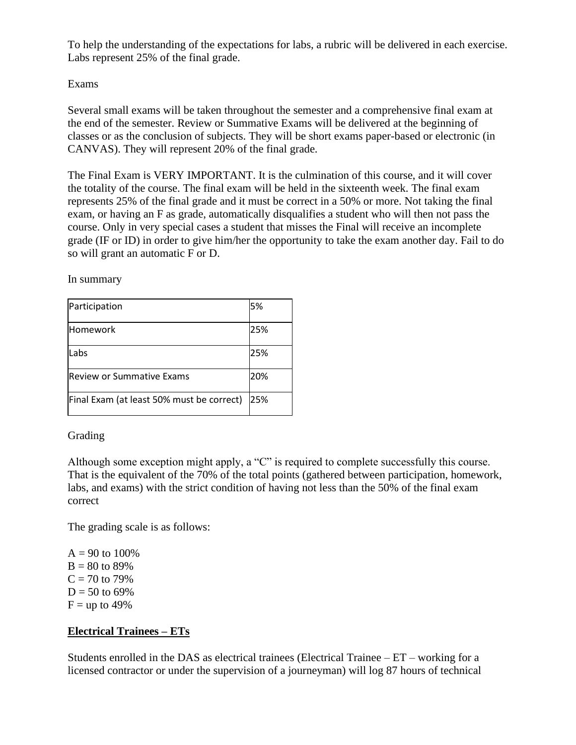To help the understanding of the expectations for labs, a rubric will be delivered in each exercise. Labs represent 25% of the final grade.

# Exams

Several small exams will be taken throughout the semester and a comprehensive final exam at the end of the semester. Review or Summative Exams will be delivered at the beginning of classes or as the conclusion of subjects. They will be short exams paper-based or electronic (in CANVAS). They will represent 20% of the final grade.

The Final Exam is VERY IMPORTANT. It is the culmination of this course, and it will cover the totality of the course. The final exam will be held in the sixteenth week. The final exam represents 25% of the final grade and it must be correct in a 50% or more. Not taking the final exam, or having an F as grade, automatically disqualifies a student who will then not pass the course. Only in very special cases a student that misses the Final will receive an incomplete grade (IF or ID) in order to give him/her the opportunity to take the exam another day. Fail to do so will grant an automatic F or D.

In summary

| Participation                             | 5%  |
|-------------------------------------------|-----|
| lHomework                                 | 25% |
| Labs                                      | 25% |
| lReview or Summative Exams                | 20% |
| Final Exam (at least 50% must be correct) | 25% |

## Grading

Although some exception might apply, a "C" is required to complete successfully this course. That is the equivalent of the 70% of the total points (gathered between participation, homework, labs, and exams) with the strict condition of having not less than the 50% of the final exam correct

The grading scale is as follows:

 $A = 90$  to 100%  $B = 80$  to 89%  $C = 70$  to 79%  $D = 50$  to 69%  $F =$ up to 49%

# **Electrical Trainees – ETs**

Students enrolled in the DAS as electrical trainees (Electrical Trainee  $-ET$  – working for a licensed contractor or under the supervision of a journeyman) will log 87 hours of technical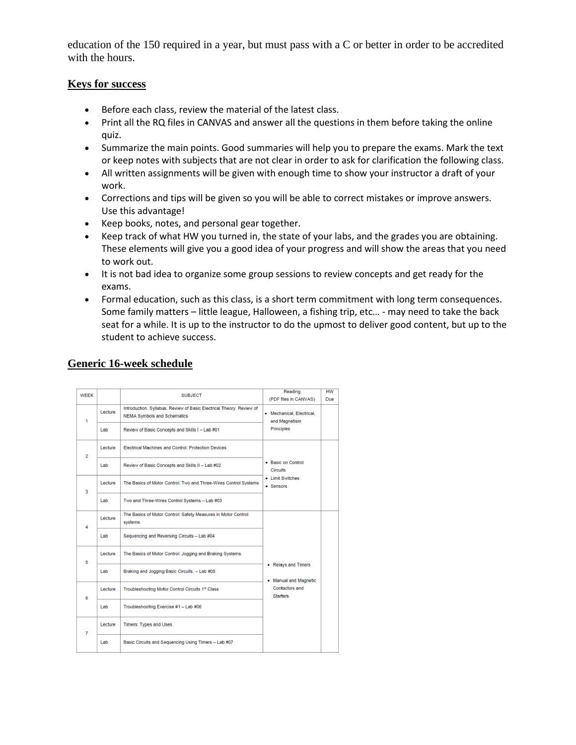education of the 150 required in a year, but must pass with a C or better in order to be accredited with the hours.

#### **Keys for success**

- Before each class, review the material of the latest class.
- Print all the RQ files in CANVAS and answer all the questions in them before taking the online quiz.
- Summarize the main points. Good summaries will help you to prepare the exams. Mark the text or keep notes with subjects that are not clear in order to ask for clarification the following class.
- All written assignments will be given with enough time to show your instructor a draft of your work.
- Corrections and tips will be given so you will be able to correct mistakes or improve answers. Use this advantage!
- Keep books, notes, and personal gear together.
- Keep track of what HW you turned in, the state of your labs, and the grades you are obtaining. These elements will give you a good idea of your progress and will show the areas that you need to work out.
- It is not bad idea to organize some group sessions to review concepts and get ready for the exams.
- Formal education, such as this class, is a short term commitment with long term consequences. Some family matters – little league, Halloween, a fishing trip, etc… - may need to take the back seat for a while. It is up to the instructor to do the upmost to deliver good content, but up to the student to achieve success.

# **Generic 16-week schedule**

| <b>WEEK</b>    |         | <b>SUBJECT</b>                                                                                             | Reading<br>(PDF files in CANVAS)                                | <b>HW</b><br>Due |
|----------------|---------|------------------------------------------------------------------------------------------------------------|-----------------------------------------------------------------|------------------|
| $\mathbf{1}$   | Lecture | Introduction, Syllabus, Review of Basic Electrical Theory, Review of<br><b>NEMA Symbols and Schematics</b> | • Mechanical, Electrical,<br>and Magnetism<br>Principles        |                  |
|                | Lab     | Review of Basic Concepts and Skills I - Lab #01                                                            |                                                                 |                  |
| $\overline{2}$ | Lecture | Electrical Machines and Control. Protection Devices                                                        | • Basic on Control<br>Circuits<br>• Limit Switches<br>• Sensors |                  |
|                | Lab     | Review of Basic Concepts and Skills II - Lab #02                                                           |                                                                 |                  |
| 3              | Lecture | The Basics of Motor Control: Two and Three-Wires Control Systems                                           |                                                                 |                  |
|                | Lab     | Two and Three-Wires Control Systems - Lab #03                                                              |                                                                 |                  |
| 4              | Lecture | The Basics of Motor Control: Safety Measures in Motor Control<br>systems                                   |                                                                 |                  |
|                | Lab     | Sequencing and Reversing Circuits - Lab #04                                                                |                                                                 |                  |
| 5              | Lecture | The Basics of Motor Control: Jogging and Braking Systems.                                                  | • Relays and Timers                                             |                  |
|                | Lab     | Braking and Jogging Basic Circuits. - Lab #05                                                              | • Manual and Magnetic                                           |                  |
| 6              | Lecture | Troubleshooting Motor Control Circuits 1st Class                                                           | Contactors and<br><b>Starters</b>                               |                  |
|                | Lab     | Troubleshooting Exercise #1 - Lab #06                                                                      |                                                                 |                  |
| $\overline{7}$ | Lecture | Timers: Types and Uses                                                                                     |                                                                 |                  |
|                | Lab     | Basic Circuits and Sequencing Using Timers - Lab #07                                                       |                                                                 |                  |